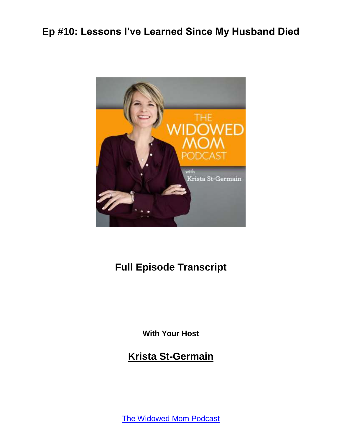

### **Full Episode Transcript**

**With Your Host**

**Krista St-Germain**

[The Widowed Mom Podcast](https://coachingwithkrista.com/podcast)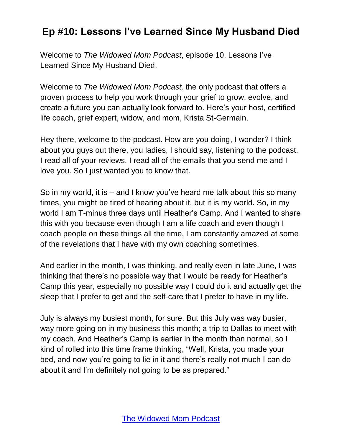Welcome to *The Widowed Mom Podcast*, episode 10, Lessons I've Learned Since My Husband Died.

Welcome to *The Widowed Mom Podcast,* the only podcast that offers a proven process to help you work through your grief to grow, evolve, and create a future you can actually look forward to. Here's your host, certified life coach, grief expert, widow, and mom, Krista St-Germain.

Hey there, welcome to the podcast. How are you doing, I wonder? I think about you guys out there, you ladies, I should say, listening to the podcast. I read all of your reviews. I read all of the emails that you send me and I love you. So I just wanted you to know that.

So in my world, it is – and I know you've heard me talk about this so many times, you might be tired of hearing about it, but it is my world. So, in my world I am T-minus three days until Heather's Camp. And I wanted to share this with you because even though I am a life coach and even though I coach people on these things all the time, I am constantly amazed at some of the revelations that I have with my own coaching sometimes.

And earlier in the month, I was thinking, and really even in late June, I was thinking that there's no possible way that I would be ready for Heather's Camp this year, especially no possible way I could do it and actually get the sleep that I prefer to get and the self-care that I prefer to have in my life.

July is always my busiest month, for sure. But this July was way busier, way more going on in my business this month; a trip to Dallas to meet with my coach. And Heather's Camp is earlier in the month than normal, so I kind of rolled into this time frame thinking, "Well, Krista, you made your bed, and now you're going to lie in it and there's really not much I can do about it and I'm definitely not going to be as prepared."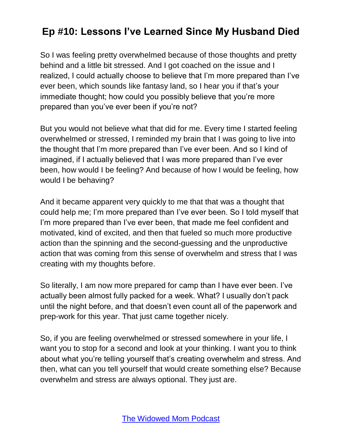So I was feeling pretty overwhelmed because of those thoughts and pretty behind and a little bit stressed. And I got coached on the issue and I realized, I could actually choose to believe that I'm more prepared than I've ever been, which sounds like fantasy land, so I hear you if that's your immediate thought; how could you possibly believe that you're more prepared than you've ever been if you're not?

But you would not believe what that did for me. Every time I started feeling overwhelmed or stressed, I reminded my brain that I was going to live into the thought that I'm more prepared than I've ever been. And so I kind of imagined, if I actually believed that I was more prepared than I've ever been, how would I be feeling? And because of how I would be feeling, how would I be behaving?

And it became apparent very quickly to me that that was a thought that could help me; I'm more prepared than I've ever been. So I told myself that I'm more prepared than I've ever been, that made me feel confident and motivated, kind of excited, and then that fueled so much more productive action than the spinning and the second-guessing and the unproductive action that was coming from this sense of overwhelm and stress that I was creating with my thoughts before.

So literally, I am now more prepared for camp than I have ever been. I've actually been almost fully packed for a week. What? I usually don't pack until the night before, and that doesn't even count all of the paperwork and prep-work for this year. That just came together nicely.

So, if you are feeling overwhelmed or stressed somewhere in your life, I want you to stop for a second and look at your thinking. I want you to think about what you're telling yourself that's creating overwhelm and stress. And then, what can you tell yourself that would create something else? Because overwhelm and stress are always optional. They just are.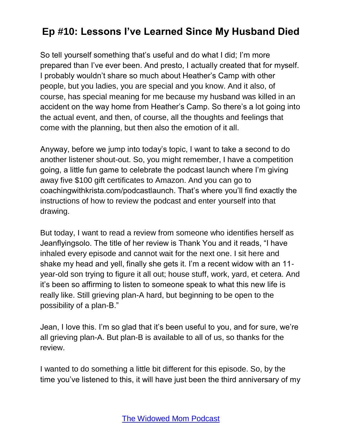So tell yourself something that's useful and do what I did; I'm more prepared than I've ever been. And presto, I actually created that for myself. I probably wouldn't share so much about Heather's Camp with other people, but you ladies, you are special and you know. And it also, of course, has special meaning for me because my husband was killed in an accident on the way home from Heather's Camp. So there's a lot going into the actual event, and then, of course, all the thoughts and feelings that come with the planning, but then also the emotion of it all.

Anyway, before we jump into today's topic, I want to take a second to do another listener shout-out. So, you might remember, I have a competition going, a little fun game to celebrate the podcast launch where I'm giving away five \$100 gift certificates to Amazon. And you can go to coachingwithkrista.com/podcastlaunch. That's where you'll find exactly the instructions of how to review the podcast and enter yourself into that drawing.

But today, I want to read a review from someone who identifies herself as Jeanflyingsolo. The title of her review is Thank You and it reads, "I have inhaled every episode and cannot wait for the next one. I sit here and shake my head and yell, finally she gets it. I'm a recent widow with an 11 year-old son trying to figure it all out; house stuff, work, yard, et cetera. And it's been so affirming to listen to someone speak to what this new life is really like. Still grieving plan-A hard, but beginning to be open to the possibility of a plan-B."

Jean, I love this. I'm so glad that it's been useful to you, and for sure, we're all grieving plan-A. But plan-B is available to all of us, so thanks for the review.

I wanted to do something a little bit different for this episode. So, by the time you've listened to this, it will have just been the third anniversary of my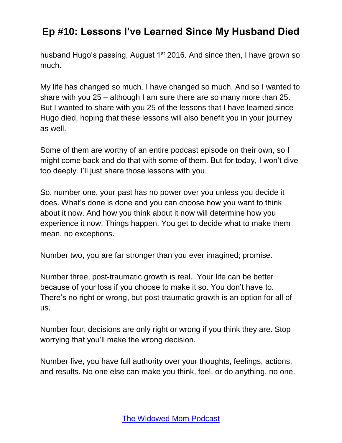husband Hugo's passing, August 1<sup>st</sup> 2016. And since then, I have grown so much.

My life has changed so much. I have changed so much. And so I wanted to share with you 25 – although I am sure there are so many more than 25. But I wanted to share with you 25 of the lessons that I have learned since Hugo died, hoping that these lessons will also benefit you in your journey as well.

Some of them are worthy of an entire podcast episode on their own, so I might come back and do that with some of them. But for today, I won't dive too deeply. I'll just share those lessons with you.

So, number one, your past has no power over you unless you decide it does. What's done is done and you can choose how you want to think about it now. And how you think about it now will determine how you experience it now. Things happen. You get to decide what to make them mean, no exceptions.

Number two, you are far stronger than you ever imagined; promise.

Number three, post-traumatic growth is real. Your life can be better because of your loss if you choose to make it so. You don't have to. There's no right or wrong, but post-traumatic growth is an option for all of us.

Number four, decisions are only right or wrong if you think they are. Stop worrying that you'll make the wrong decision.

Number five, you have full authority over your thoughts, feelings, actions, and results. No one else can make you think, feel, or do anything, no one.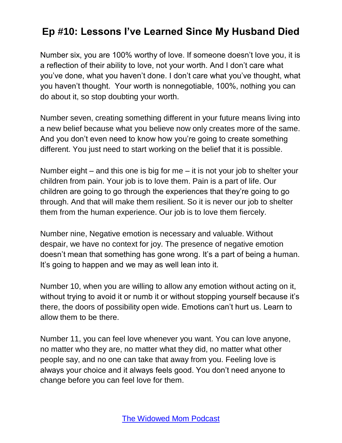Number six, you are 100% worthy of love. If someone doesn't love you, it is a reflection of their ability to love, not your worth. And I don't care what you've done, what you haven't done. I don't care what you've thought, what you haven't thought. Your worth is nonnegotiable, 100%, nothing you can do about it, so stop doubting your worth.

Number seven, creating something different in your future means living into a new belief because what you believe now only creates more of the same. And you don't even need to know how you're going to create something different. You just need to start working on the belief that it is possible.

Number eight – and this one is big for me – it is not your job to shelter your children from pain. Your job is to love them. Pain is a part of life. Our children are going to go through the experiences that they're going to go through. And that will make them resilient. So it is never our job to shelter them from the human experience. Our job is to love them fiercely.

Number nine, Negative emotion is necessary and valuable. Without despair, we have no context for joy. The presence of negative emotion doesn't mean that something has gone wrong. It's a part of being a human. It's going to happen and we may as well lean into it.

Number 10, when you are willing to allow any emotion without acting on it, without trying to avoid it or numb it or without stopping yourself because it's there, the doors of possibility open wide. Emotions can't hurt us. Learn to allow them to be there.

Number 11, you can feel love whenever you want. You can love anyone, no matter who they are, no matter what they did, no matter what other people say, and no one can take that away from you. Feeling love is always your choice and it always feels good. You don't need anyone to change before you can feel love for them.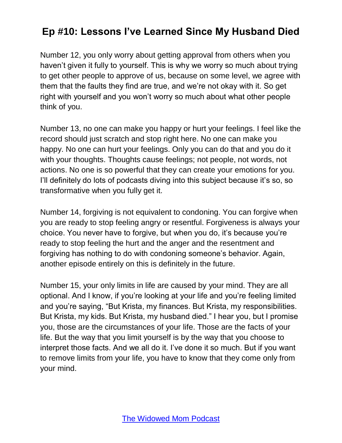Number 12, you only worry about getting approval from others when you haven't given it fully to yourself. This is why we worry so much about trying to get other people to approve of us, because on some level, we agree with them that the faults they find are true, and we're not okay with it. So get right with yourself and you won't worry so much about what other people think of you.

Number 13, no one can make you happy or hurt your feelings. I feel like the record should just scratch and stop right here. No one can make you happy. No one can hurt your feelings. Only you can do that and you do it with your thoughts. Thoughts cause feelings; not people, not words, not actions. No one is so powerful that they can create your emotions for you. I'll definitely do lots of podcasts diving into this subject because it's so, so transformative when you fully get it.

Number 14, forgiving is not equivalent to condoning. You can forgive when you are ready to stop feeling angry or resentful. Forgiveness is always your choice. You never have to forgive, but when you do, it's because you're ready to stop feeling the hurt and the anger and the resentment and forgiving has nothing to do with condoning someone's behavior. Again, another episode entirely on this is definitely in the future.

Number 15, your only limits in life are caused by your mind. They are all optional. And I know, if you're looking at your life and you're feeling limited and you're saying, "But Krista, my finances. But Krista, my responsibilities. But Krista, my kids. But Krista, my husband died." I hear you, but I promise you, those are the circumstances of your life. Those are the facts of your life. But the way that you limit yourself is by the way that you choose to interpret those facts. And we all do it. I've done it so much. But if you want to remove limits from your life, you have to know that they come only from your mind.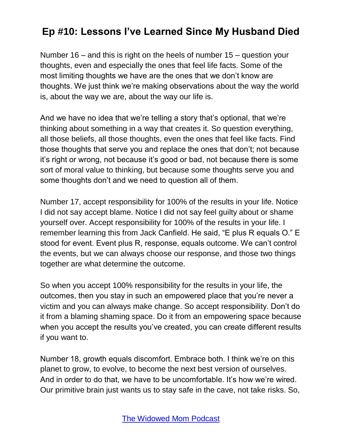Number 16 – and this is right on the heels of number 15 – question your thoughts, even and especially the ones that feel life facts. Some of the most limiting thoughts we have are the ones that we don't know are thoughts. We just think we're making observations about the way the world is, about the way we are, about the way our life is.

And we have no idea that we're telling a story that's optional, that we're thinking about something in a way that creates it. So question everything, all those beliefs, all those thoughts, even the ones that feel like facts. Find those thoughts that serve you and replace the ones that don't; not because it's right or wrong, not because it's good or bad, not because there is some sort of moral value to thinking, but because some thoughts serve you and some thoughts don't and we need to question all of them.

Number 17, accept responsibility for 100% of the results in your life. Notice I did not say accept blame. Notice I did not say feel guilty about or shame yourself over. Accept responsibility for 100% of the results in your life. I remember learning this from Jack Canfield. He said, "E plus R equals O." E stood for event. Event plus R, response, equals outcome. We can't control the events, but we can always choose our response, and those two things together are what determine the outcome.

So when you accept 100% responsibility for the results in your life, the outcomes, then you stay in such an empowered place that you're never a victim and you can always make change. So accept responsibility. Don't do it from a blaming shaming space. Do it from an empowering space because when you accept the results you've created, you can create different results if you want to.

Number 18, growth equals discomfort. Embrace both. I think we're on this planet to grow, to evolve, to become the next best version of ourselves. And in order to do that, we have to be uncomfortable. It's how we're wired. Our primitive brain just wants us to stay safe in the cave, not take risks. So,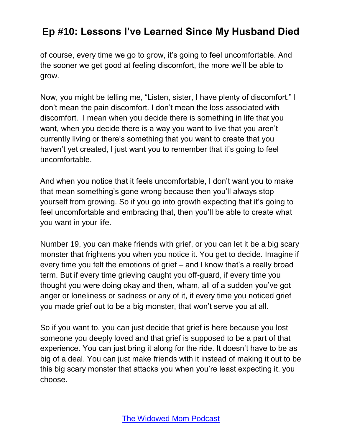of course, every time we go to grow, it's going to feel uncomfortable. And the sooner we get good at feeling discomfort, the more we'll be able to grow.

Now, you might be telling me, "Listen, sister, I have plenty of discomfort." I don't mean the pain discomfort. I don't mean the loss associated with discomfort. I mean when you decide there is something in life that you want, when you decide there is a way you want to live that you aren't currently living or there's something that you want to create that you haven't yet created, I just want you to remember that it's going to feel uncomfortable.

And when you notice that it feels uncomfortable, I don't want you to make that mean something's gone wrong because then you'll always stop yourself from growing. So if you go into growth expecting that it's going to feel uncomfortable and embracing that, then you'll be able to create what you want in your life.

Number 19, you can make friends with grief, or you can let it be a big scary monster that frightens you when you notice it. You get to decide. Imagine if every time you felt the emotions of grief – and I know that's a really broad term. But if every time grieving caught you off-guard, if every time you thought you were doing okay and then, wham, all of a sudden you've got anger or loneliness or sadness or any of it, if every time you noticed grief you made grief out to be a big monster, that won't serve you at all.

So if you want to, you can just decide that grief is here because you lost someone you deeply loved and that grief is supposed to be a part of that experience. You can just bring it along for the ride. It doesn't have to be as big of a deal. You can just make friends with it instead of making it out to be this big scary monster that attacks you when you're least expecting it. you choose.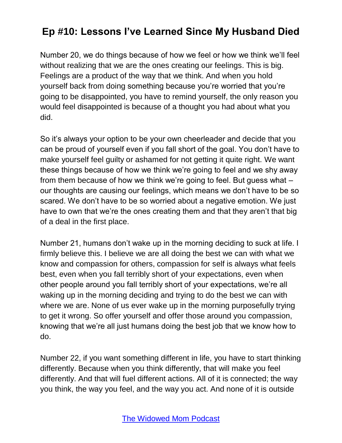Number 20, we do things because of how we feel or how we think we'll feel without realizing that we are the ones creating our feelings. This is big. Feelings are a product of the way that we think. And when you hold yourself back from doing something because you're worried that you're going to be disappointed, you have to remind yourself, the only reason you would feel disappointed is because of a thought you had about what you did.

So it's always your option to be your own cheerleader and decide that you can be proud of yourself even if you fall short of the goal. You don't have to make yourself feel guilty or ashamed for not getting it quite right. We want these things because of how we think we're going to feel and we shy away from them because of how we think we're going to feel. But guess what – our thoughts are causing our feelings, which means we don't have to be so scared. We don't have to be so worried about a negative emotion. We just have to own that we're the ones creating them and that they aren't that big of a deal in the first place.

Number 21, humans don't wake up in the morning deciding to suck at life. I firmly believe this. I believe we are all doing the best we can with what we know and compassion for others, compassion for self is always what feels best, even when you fall terribly short of your expectations, even when other people around you fall terribly short of your expectations, we're all waking up in the morning deciding and trying to do the best we can with where we are. None of us ever wake up in the morning purposefully trying to get it wrong. So offer yourself and offer those around you compassion, knowing that we're all just humans doing the best job that we know how to do.

Number 22, if you want something different in life, you have to start thinking differently. Because when you think differently, that will make you feel differently. And that will fuel different actions. All of it is connected; the way you think, the way you feel, and the way you act. And none of it is outside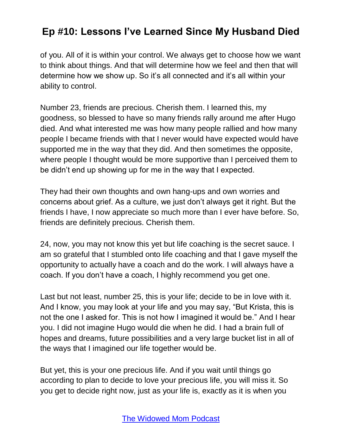of you. All of it is within your control. We always get to choose how we want to think about things. And that will determine how we feel and then that will determine how we show up. So it's all connected and it's all within your ability to control.

Number 23, friends are precious. Cherish them. I learned this, my goodness, so blessed to have so many friends rally around me after Hugo died. And what interested me was how many people rallied and how many people I became friends with that I never would have expected would have supported me in the way that they did. And then sometimes the opposite, where people I thought would be more supportive than I perceived them to be didn't end up showing up for me in the way that I expected.

They had their own thoughts and own hang-ups and own worries and concerns about grief. As a culture, we just don't always get it right. But the friends I have, I now appreciate so much more than I ever have before. So, friends are definitely precious. Cherish them.

24, now, you may not know this yet but life coaching is the secret sauce. I am so grateful that I stumbled onto life coaching and that I gave myself the opportunity to actually have a coach and do the work. I will always have a coach. If you don't have a coach, I highly recommend you get one.

Last but not least, number 25, this is your life; decide to be in love with it. And I know, you may look at your life and you may say, "But Krista, this is not the one I asked for. This is not how I imagined it would be." And I hear you. I did not imagine Hugo would die when he did. I had a brain full of hopes and dreams, future possibilities and a very large bucket list in all of the ways that I imagined our life together would be.

But yet, this is your one precious life. And if you wait until things go according to plan to decide to love your precious life, you will miss it. So you get to decide right now, just as your life is, exactly as it is when you